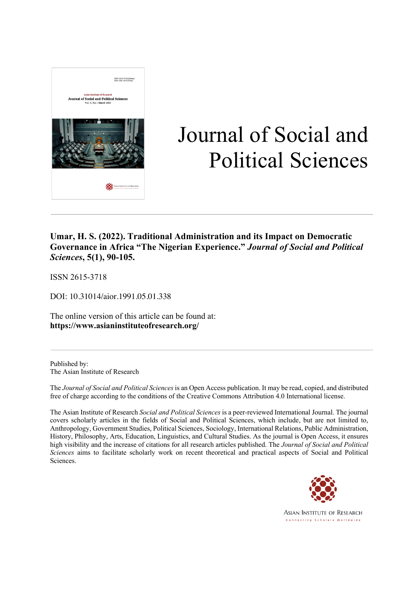

# Journal of Social and Political Sciences

### **Umar, H. S. (2022). Traditional Administration and its Impact on Democratic Governance in Africa "The Nigerian Experience."** *Journal of Social and Political Sciences***, 5(1), 90-105.**

ISSN 2615-3718

DOI: 10.31014/aior.1991.05.01.338

The online version of this article can be found at: **https://www.asianinstituteofresearch.org/**

Published by: The Asian Institute of Research

The *Journal of Social and Political Sciences* is an Open Access publication. It may be read, copied, and distributed free of charge according to the conditions of the Creative Commons Attribution 4.0 International license.

The Asian Institute of Research *Social and Political Sciences* is a peer-reviewed International Journal. The journal covers scholarly articles in the fields of Social and Political Sciences, which include, but are not limited to, Anthropology, Government Studies, Political Sciences, Sociology, International Relations, Public Administration, History, Philosophy, Arts, Education, Linguistics, and Cultural Studies. As the journal is Open Access, it ensures high visibility and the increase of citations for all research articles published. The *Journal of Social and Political Sciences* aims to facilitate scholarly work on recent theoretical and practical aspects of Social and Political Sciences.



**ASIAN INSTITUTE OF RESEARCH** Connecting Scholars Worldwide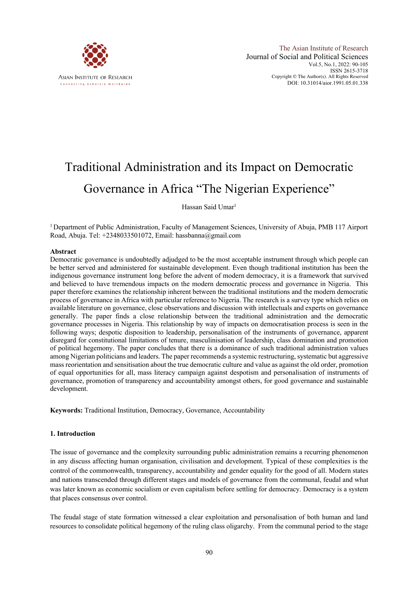

## Traditional Administration and its Impact on Democratic Governance in Africa "The Nigerian Experience"

Hassan Said Umar<sup>1</sup>

<sup>1</sup> Department of Public Administration, Faculty of Management Sciences, University of Abuja, PMB 117 Airport Road, Abuja. Tel: +2348033501072, Email: hassbanna@gmail.com

#### **Abstract**

Democratic governance is undoubtedly adjudged to be the most acceptable instrument through which people can be better served and administered for sustainable development. Even though traditional institution has been the indigenous governance instrument long before the advent of modern democracy, it is a framework that survived and believed to have tremendous impacts on the modern democratic process and governance in Nigeria. This paper therefore examines the relationship inherent between the traditional institutions and the modern democratic process of governance in Africa with particular reference to Nigeria. The research is a survey type which relies on available literature on governance, close observations and discussion with intellectuals and experts on governance generally. The paper finds a close relationship between the traditional administration and the democratic governance processes in Nigeria. This relationship by way of impacts on democratisation process is seen in the following ways; despotic disposition to leadership, personalisation of the instruments of governance, apparent disregard for constitutional limitations of tenure, masculinisation of leadership, class domination and promotion of political hegemony. The paper concludes that there is a dominance of such traditional administration values among Nigerian politicians and leaders. The paper recommends a systemic restructuring, systematic but aggressive mass reorientation and sensitisation about the true democratic culture and value as against the old order, promotion of equal opportunities for all, mass literacy campaign against despotism and personalisation of instruments of governance, promotion of transparency and accountability amongst others, for good governance and sustainable development.

**Keywords:** Traditional Institution, Democracy, Governance, Accountability

#### **1. Introduction**

The issue of governance and the complexity surrounding public administration remains a recurring phenomenon in any discuss affecting human organisation, civilisation and development. Typical of these complexities is the control of the commonwealth, transparency, accountability and gender equality for the good of all. Modern states and nations transcended through different stages and models of governance from the communal, feudal and what was later known as economic socialism or even capitalism before settling for democracy. Democracy is a system that places consensus over control.

The feudal stage of state formation witnessed a clear exploitation and personalisation of both human and land resources to consolidate political hegemony of the ruling class oligarchy. From the communal period to the stage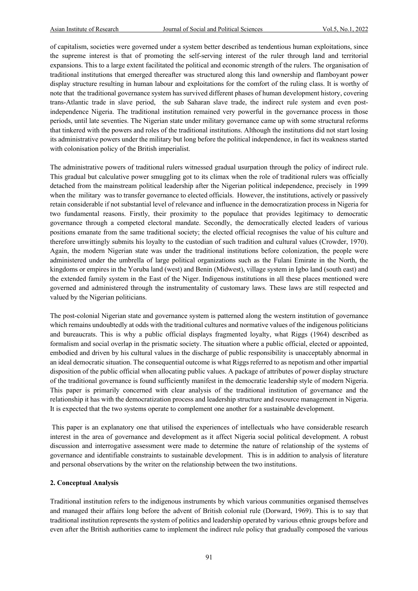of capitalism, societies were governed under a system better described as tendentious human exploitations, since the supreme interest is that of promoting the self-serving interest of the ruler through land and territorial expansions. This to a large extent facilitated the political and economic strength of the rulers. The organisation of traditional institutions that emerged thereafter was structured along this land ownership and flamboyant power display structure resulting in human labour and exploitations for the comfort of the ruling class. It is worthy of note that the traditional governance system has survived different phases of human development history, covering trans-Atlantic trade in slave period, the sub Saharan slave trade, the indirect rule system and even postindependence Nigeria. The traditional institution remained very powerful in the governance process in those periods, until late seventies. The Nigerian state under military governance came up with some structural reforms that tinkered with the powers and roles of the traditional institutions. Although the institutions did not start losing its administrative powers under the military but long before the political independence, in fact its weakness started with colonisation policy of the British imperialist.

The administrative powers of traditional rulers witnessed gradual usurpation through the policy of indirect rule. This gradual but calculative power smuggling got to its climax when the role of traditional rulers was officially detached from the mainstream political leadership after the Nigerian political independence, precisely in 1999 when the military was to transfer governance to elected officials. However, the institutions, actively or passively retain considerable if not substantial level of relevance and influence in the democratization process in Nigeria for two fundamental reasons. Firstly, their proximity to the populace that provides legitimacy to democratic governance through a competed electoral mandate. Secondly, the democratically elected leaders of various positions emanate from the same traditional society; the elected official recognises the value of his culture and therefore unwittingly submits his loyalty to the custodian of such tradition and cultural values (Crowder, 1970). Again, the modern Nigerian state was under the traditional institutions before colonization, the people were administered under the umbrella of large political organizations such as the Fulani Emirate in the North, the kingdoms or empires in the Yoruba land (west) and Benin (Midwest), village system in Igbo land (south east) and the extended family system in the East of the Niger. Indigenous institutions in all these places mentioned were governed and administered through the instrumentality of customary laws. These laws are still respected and valued by the Nigerian politicians.

The post-colonial Nigerian state and governance system is patterned along the western institution of governance which remains undoubtedly at odds with the traditional cultures and normative values of the indigenous politicians and bureaucrats. This is why a public official displays fragmented loyalty, what Riggs (1964) described as formalism and social overlap in the prismatic society. The situation where a public official, elected or appointed, embodied and driven by his cultural values in the discharge of public responsibility is unacceptably abnormal in an ideal democratic situation. The consequential outcome is what Riggs referred to as nepotism and other impartial disposition of the public official when allocating public values. A package of attributes of power display structure of the traditional governance is found sufficiently manifest in the democratic leadership style of modern Nigeria. This paper is primarily concerned with clear analysis of the traditional institution of governance and the relationship it has with the democratization process and leadership structure and resource management in Nigeria. It is expected that the two systems operate to complement one another for a sustainable development.

This paper is an explanatory one that utilised the experiences of intellectuals who have considerable research interest in the area of governance and development as it affect Nigeria social political development. A robust discussion and interrogative assessment were made to determine the nature of relationship of the systems of governance and identifiable constraints to sustainable development. This is in addition to analysis of literature and personal observations by the writer on the relationship between the two institutions.

#### **2. Conceptual Analysis**

Traditional institution refers to the indigenous instruments by which various communities organised themselves and managed their affairs long before the advent of British colonial rule (Dorward, 1969). This is to say that traditional institution represents the system of politics and leadership operated by various ethnic groups before and even after the British authorities came to implement the indirect rule policy that gradually composed the various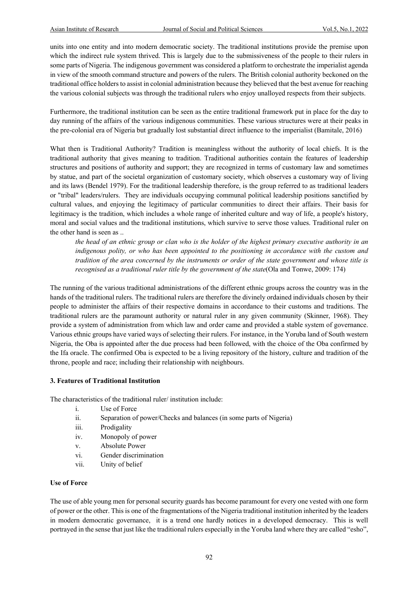units into one entity and into modern democratic society. The traditional institutions provide the premise upon which the indirect rule system thrived. This is largely due to the submissiveness of the people to their rulers in some parts of Nigeria. The indigenous government was considered a platform to orchestrate the imperialist agenda in view of the smooth command structure and powers of the rulers. The British colonial authority beckoned on the traditional office holders to assist in colonial administration because they believed that the best avenue for reaching the various colonial subjects was through the traditional rulers who enjoy unalloyed respects from their subjects.

Furthermore, the traditional institution can be seen as the entire traditional framework put in place for the day to day running of the affairs of the various indigenous communities. These various structures were at their peaks in the pre-colonial era of Nigeria but gradually lost substantial direct influence to the imperialist (Bamitale, 2016)

What then is Traditional Authority? Tradition is meaningless without the authority of local chiefs. It is the traditional authority that gives meaning to tradition. Traditional authorities contain the features of leadership structures and positions of authority and support; they are recognized in terms of customary law and sometimes by statue, and part of the societal organization of customary society, which observes a customary way of living and its laws (Bendel 1979). For the traditional leadership therefore, is the group referred to as traditional leaders or "tribal" leaders/rulers. They are individuals occupying communal political leadership positions sanctified by cultural values, and enjoying the legitimacy of particular communities to direct their affairs. Their basis for legitimacy is the tradition, which includes a whole range of inherited culture and way of life, a people's history, moral and social values and the traditional institutions, which survive to serve those values. Traditional ruler on the other hand is seen as ..

*the head of an ethnic group or clan who is the holder of the highest primary executive authority in an*  indigenous polity, or who has been appointed to the positioning in accordance with the custom and *tradition of the area concerned by the instruments or order of the state government and whose title is recognised as a traditional ruler title by the government of the state*(Ola and Tonwe, 2009: 174)

The running of the various traditional administrations of the different ethnic groups across the country was in the hands of the traditional rulers. The traditional rulers are therefore the divinely ordained individuals chosen by their people to administer the affairs of their respective domains in accordance to their customs and traditions. The traditional rulers are the paramount authority or natural ruler in any given community (Skinner, 1968). They provide a system of administration from which law and order came and provided a stable system of governance. Various ethnic groups have varied ways of selecting their rulers. For instance, in the Yoruba land of South western Nigeria, the Oba is appointed after the due process had been followed, with the choice of the Oba confirmed by the Ifa oracle. The confirmed Oba is expected to be a living repository of the history, culture and tradition of the throne, people and race; including their relationship with neighbours.

#### **3. Features of Traditional Institution**

The characteristics of the traditional ruler/ institution include:

- i. Use of Force
- ii. Separation of power/Checks and balances (in some parts of Nigeria)
- iii. Prodigality
- iv. Monopoly of power
- v. Absolute Power
- vi. Gender discrimination
- vii. Unity of belief

#### **Use of Force**

The use of able young men for personal security guards has become paramount for every one vested with one form of power or the other. This is one of the fragmentations of the Nigeria traditional institution inherited by the leaders in modern democratic governance, it is a trend one hardly notices in a developed democracy. This is well portrayed in the sense that just like the traditional rulers especially in the Yoruba land where they are called "esho",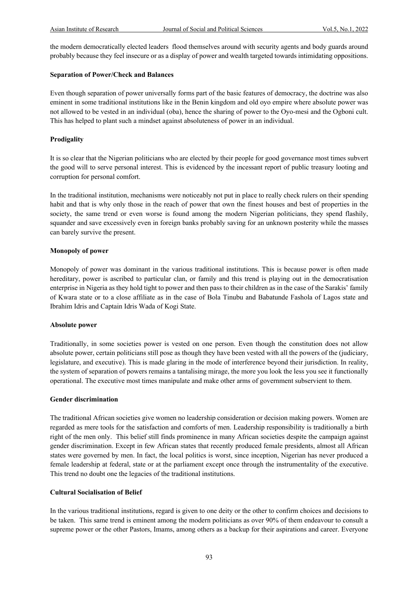the modern democratically elected leaders flood themselves around with security agents and body guards around probably because they feel insecure or as a display of power and wealth targeted towards intimidating oppositions.

#### **Separation of Power/Check and Balances**

Even though separation of power universally forms part of the basic features of democracy, the doctrine was also eminent in some traditional institutions like in the Benin kingdom and old oyo empire where absolute power was not allowed to be vested in an individual (oba), hence the sharing of power to the Oyo-mesi and the Ogboni cult. This has helped to plant such a mindset against absoluteness of power in an individual.

#### **Prodigality**

It is so clear that the Nigerian politicians who are elected by their people for good governance most times subvert the good will to serve personal interest. This is evidenced by the incessant report of public treasury looting and corruption for personal comfort.

In the traditional institution, mechanisms were noticeably not put in place to really check rulers on their spending habit and that is why only those in the reach of power that own the finest houses and best of properties in the society, the same trend or even worse is found among the modern Nigerian politicians, they spend flashily, squander and save excessively even in foreign banks probably saving for an unknown posterity while the masses can barely survive the present.

#### **Monopoly of power**

Monopoly of power was dominant in the various traditional institutions. This is because power is often made hereditary, power is ascribed to particular clan, or family and this trend is playing out in the democratisation enterprise in Nigeria as they hold tight to power and then pass to their children as in the case of the Sarakis' family of Kwara state or to a close affiliate as in the case of Bola Tinubu and Babatunde Fashola of Lagos state and Ibrahim Idris and Captain Idris Wada of Kogi State.

#### **Absolute power**

Traditionally, in some societies power is vested on one person. Even though the constitution does not allow absolute power, certain politicians still pose as though they have been vested with all the powers of the (judiciary, legislature, and executive). This is made glaring in the mode of interference beyond their jurisdiction. In reality, the system of separation of powers remains a tantalising mirage, the more you look the less you see it functionally operational. The executive most times manipulate and make other arms of government subservient to them.

#### **Gender discrimination**

The traditional African societies give women no leadership consideration or decision making powers. Women are regarded as mere tools for the satisfaction and comforts of men. Leadership responsibility is traditionally a birth right of the men only. This belief still finds prominence in many African societies despite the campaign against gender discrimination. Except in few African states that recently produced female presidents, almost all African states were governed by men. In fact, the local politics is worst, since inception, Nigerian has never produced a female leadership at federal, state or at the parliament except once through the instrumentality of the executive. This trend no doubt one the legacies of the traditional institutions.

#### **Cultural Socialisation of Belief**

In the various traditional institutions, regard is given to one deity or the other to confirm choices and decisions to be taken. This same trend is eminent among the modern politicians as over 90% of them endeavour to consult a supreme power or the other Pastors, Imams, among others as a backup for their aspirations and career. Everyone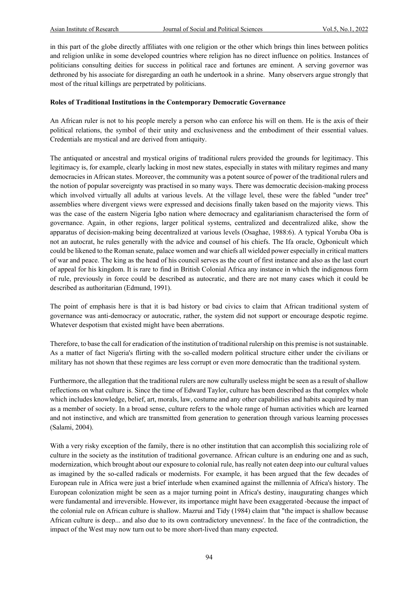in this part of the globe directly affiliates with one religion or the other which brings thin lines between politics and religion unlike in some developed countries where religion has no direct influence on politics. Instances of politicians consulting deities for success in political race and fortunes are eminent. A serving governor was dethroned by his associate for disregarding an oath he undertook in a shrine. Many observers argue strongly that most of the ritual killings are perpetrated by politicians.

#### **Roles of Traditional Institutions in the Contemporary Democratic Governance**

An African ruler is not to his people merely a person who can enforce his will on them. He is the axis of their political relations, the symbol of their unity and exclusiveness and the embodiment of their essential values. Credentials are mystical and are derived from antiquity.

The antiquated or ancestral and mystical origins of traditional rulers provided the grounds for legitimacy. This legitimacy is, for example, clearly lacking in most new states, especially in states with military regimes and many democracies in African states. Moreover, the community was a potent source of power of the traditional rulers and the notion of popular sovereignty was practised in so many ways. There was democratic decision-making process which involved virtually all adults at various levels. At the village level, these were the fabled "under tree" assemblies where divergent views were expressed and decisions finally taken based on the majority views. This was the case of the eastern Nigeria Igbo nation where democracy and egalitarianism characterised the form of governance. Again, in other regions, larger political systems, centralized and decentralized alike, show the apparatus of decision-making being decentralized at various levels (Osaghae, 1988:6). A typical Yoruba Oba is not an autocrat, he rules generally with the advice and counsel of his chiefs. The Ifa oracle, Ogbonicult which could be likened to the Roman senate, palace women and war chiefs all wielded power especially in critical matters of war and peace. The king as the head of his council serves as the court of first instance and also as the last court of appeal for his kingdom. It is rare to find in British Colonial Africa any instance in which the indigenous form of rule, previously in force could be described as autocratic, and there are not many cases which it could be described as authoritarian (Edmund, 1991).

The point of emphasis here is that it is bad history or bad civics to claim that African traditional system of governance was anti-democracy or autocratic, rather, the system did not support or encourage despotic regime. Whatever despotism that existed might have been aberrations.

Therefore, to base the call for eradication of the institution of traditional rulership on this premise is not sustainable. As a matter of fact Nigeria's flirting with the so-called modern political structure either under the civilians or military has not shown that these regimes are less corrupt or even more democratic than the traditional system.

Furthermore, the allegation that the traditional rulers are now culturally useless might be seen as a result of shallow reflections on what culture is. Since the time of Edward Taylor, culture has been described as that complex whole which includes knowledge, belief, art, morals, law, costume and any other capabilities and habits acquired by man as a member of society. In a broad sense, culture refers to the whole range of human activities which are learned and not instinctive, and which are transmitted from generation to generation through various learning processes (Salami, 2004).

With a very risky exception of the family, there is no other institution that can accomplish this socializing role of culture in the society as the institution of traditional governance. African culture is an enduring one and as such, modernization, which brought about our exposure to colonial rule, has really not eaten deep into our cultural values as imagined by the so-called radicals or modernists. For example, it has been argued that the few decades of European rule in Africa were just a brief interlude when examined against the millennia of Africa's history. The European colonization might be seen as a major turning point in Africa's destiny, inaugurating changes which were fundamental and irreversible. However, its importance might have been exaggerated -because the impact of the colonial rule on African culture is shallow. Mazrui and Tidy (1984) claim that "the impact is shallow because African culture is deep... and also due to its own contradictory unevenness'. In the face of the contradiction, the impact of the West may now turn out to be more short-lived than many expected.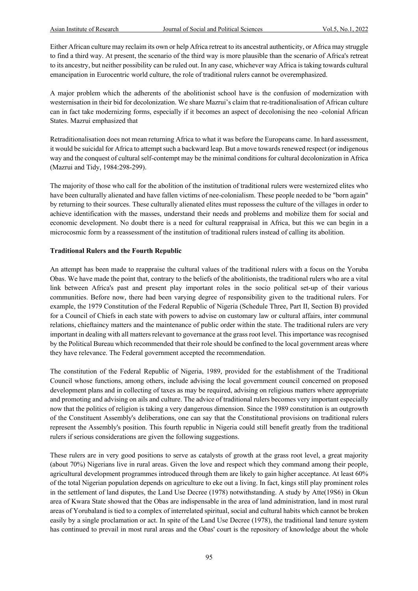Either African culture may reclaim its own or help Africa retreat to its ancestral authenticity, or Africa may struggle to find a third way. At present, the scenario of the third way is more plausible than the scenario of Africa's retreat to its ancestry, but neither possibility can be ruled out. In any case, whichever way Africa is taking towards cultural emancipation in Eurocentric world culture, the role of traditional rulers cannot be overemphasized.

A major problem which the adherents of the abolitionist school have is the confusion of modernization with westernisation in their bid for decolonization. We share Mazrui's claim that re-traditionalisation of African culture can in fact take modernizing forms, especially if it becomes an aspect of decolonising the neo -colonial African States. Mazrui emphasized that

Retraditionalisation does not mean returning Africa to what it was before the Europeans came. In hard assessment, it would be suicidal for Africa to attempt such a backward leap. But a move towards renewed respect (or indigenous way and the conquest of cultural self-contempt may be the minimal conditions for cultural decolonization in Africa (Mazrui and Tidy, 1984:298-299).

The majority of those who call for the abolition of the institution of traditional rulers were westernized elites who have been culturally alienated and have fallen victims of nee-colonialism. These people needed to be "born again" by returning to their sources. These culturally alienated elites must repossess the culture of the villages in order to achieve identification with the masses, understand their needs and problems and mobilize them for social and economic development. No doubt there is a need for cultural reappraisal in Africa, but this we can begin in a microcosmic form by a reassessment of the institution of traditional rulers instead of calling its abolition.

#### **Traditional Rulers and the Fourth Republic**

An attempt has been made to reappraise the cultural values of the traditional rulers with a focus on the Yoruba Obas. We have made the point that, contrary to the beliefs of the abolitionists, the traditional rulers who are a vital link between Africa's past and present play important roles in the socio political set-up of their various communities. Before now, there had been varying degree of responsibility given to the traditional rulers. For example, the 1979 Constitution of the Federal Republic of Nigeria (Schedule Three, Part II, Section B) provided for a Council of Chiefs in each state with powers to advise on customary law or cultural affairs, inter communal relations, chieftaincy matters and the maintenance of public order within the state. The traditional rulers are very important in dealing with all matters relevant to governance at the grass root level. This importance was recognised by the Political Bureau which recommended that their role should be confined to the local government areas where they have relevance. The Federal government accepted the recommendation.

The constitution of the Federal Republic of Nigeria, 1989, provided for the establishment of the Traditional Council whose functions, among others, include advising the local government council concerned on proposed development plans and in collecting of taxes as may be required, advising on religious matters where appropriate and promoting and advising on ails and culture. The advice of traditional rulers becomes very important especially now that the politics of religion is taking a very dangerous dimension. Since the 1989 constitution is an outgrowth of the Constituent Assembly's deliberations, one can say that the Constitutional provisions on traditional rulers represent the Assembly's position. This fourth republic in Nigeria could still benefit greatly from the traditional rulers if serious considerations are given the following suggestions.

These rulers are in very good positions to serve as catalysts of growth at the grass root level, a great majority (about 70%) Nigerians live in rural areas. Given the love and respect which they command among their people, agricultural development programmes introduced through them are likely to gain higher acceptance. At least 60% of the total Nigerian population depends on agriculture to eke out a living. In fact, kings still play prominent roles in the settlement of land disputes, the Land Use Decree (1978) notwithstanding. A study by Atte(19S6) in Okun area of Kwara State showed that the Obas are indispensable in the area of land administration, land in most rural areas of Yorubaland is tied to a complex of interrelated spiritual, social and cultural habits which cannot be broken easily by a single proclamation or act. In spite of the Land Use Decree (1978), the traditional land tenure system has continued to prevail in most rural areas and the Obas' court is the repository of knowledge about the whole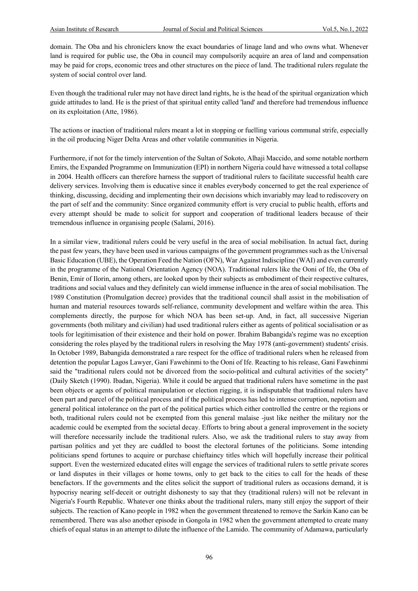domain. The Oba and his chroniclers know the exact boundaries of linage land and who owns what. Whenever land is required for public use, the Oba in council may compulsorily acquire an area of land and compensation may be paid for crops, economic trees and other structures on the piece of land. The traditional rulers regulate the system of social control over land.

Even though the traditional ruler may not have direct land rights, he is the head of the spiritual organization which guide attitudes to land. He is the priest of that spiritual entity called 'land' and therefore had tremendous influence on its exploitation (Atte, 1986).

The actions or inaction of traditional rulers meant a lot in stopping or fuelling various communal strife, especially in the oil producing Niger Delta Areas and other volatile communities in Nigeria.

Furthermore, if not for the timely intervention of the Sultan of Sokoto, Alhaji Maccido, and some notable northern Emirs, the Expanded Programme on Immunization (EPI) in northern Nigeria could have witnessed a total collapse in 2004. Health officers can therefore harness the support of traditional rulers to facilitate successful health care delivery services. Involving them is educative since it enables everybody concerned to get the real experience of thinking, discussing, deciding and implementing their own decisions which invariably may lead to rediscovery on the part of self and the community: Since organized community effort is very crucial to public health, efforts and every attempt should be made to solicit for support and cooperation of traditional leaders because of their tremendous influence in organising people (Salami, 2016).

In a similar view, traditional rulers could be very useful in the area of social mobilisation. In actual fact, during the past few years, they have been used in various campaigns of the government programmes such as the Universal Basic Education (UBE), the Operation Feed the Nation (OFN), War Against Indiscipline (WAI) and even currently in the programme of the National Orientation Agency (NOA). Traditional rulers like the Ooni of Ife, the Oba of Benin, Emir of Ilorin, among others, are looked upon by their subjects as embodiment of their respective cultures, traditions and social values and they definitely can wield immense influence in the area of social mobilisation. The 1989 Constitution (Promulgation decree) provides that the traditional council shall assist in the mobilisation of human and material resources towards self-reliance, community development and welfare within the area. This complements directly, the purpose for which NOA has been set-up. And, in fact, all successive Nigerian governments (both military and civilian) had used traditional rulers either as agents of political socialisation or as tools for legitimisation of their existence and their hold on power. Ibrahim Babangida's regime was no exception considering the roles played by the traditional rulers in resolving the May 1978 (anti-government) students' crisis. In October 1989, Babangida demonstrated a rare respect for the office of traditional rulers when he released from detention the popular Lagos Lawyer, Gani Fawehinmi to the Ooni of Ife. Reacting to his release, Gani Fawehinmi said the "traditional rulers could not be divorced from the socio-political and cultural activities of the society" (Daily Sketch (1990). Ibadan, Nigeria). While it could be argued that traditional rulers have sometime in the past been objects or agents of political manipulation or election rigging, it is indisputable that traditional rulers have been part and parcel of the political process and if the political process has led to intense corruption, nepotism and general political intolerance on the part of the political parties which either controlled the centre or the regions or both, traditional rulers could not be exempted from this general malaise -just like neither the military nor the academic could be exempted from the societal decay. Efforts to bring about a general improvement in the society will therefore necessarily include the traditional rulers. Also, we ask the traditional rulers to stay away from partisan politics and yet they are cuddled to boost the electoral fortunes of the politicians. Some intending politicians spend fortunes to acquire or purchase chieftaincy titles which will hopefully increase their political support. Even the westernized educated elites will engage the services of traditional rulers to settle private scores or land disputes in their villages or home towns, only to get back to the cities to call for the heads of these benefactors. If the governments and the elites solicit the support of traditional rulers as occasions demand, it is hypocrisy nearing self-deceit or outright dishonesty to say that they (traditional rulers) will not be relevant in Nigeria's Fourth Republic. Whatever one thinks about the traditional rulers, many still enjoy the support of their subjects. The reaction of Kano people in 1982 when the government threatened to remove the Sarkin Kano can be remembered. There was also another episode in Gongola in 1982 when the government attempted to create many chiefs of equal status in an attempt to dilute the influence of the Lamido. The community of Adamawa, particularly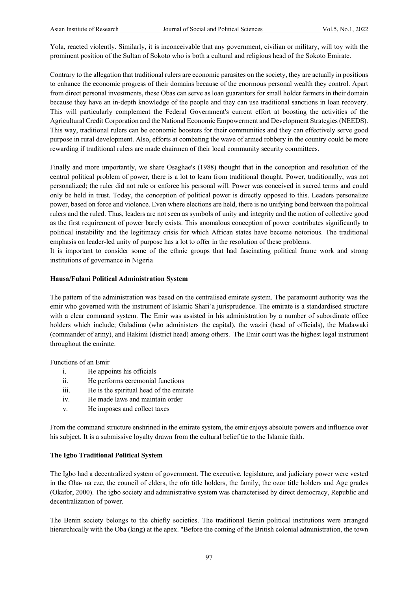Yola, reacted violently. Similarly, it is inconceivable that any government, civilian or military, will toy with the prominent position of the Sultan of Sokoto who is both a cultural and religious head of the Sokoto Emirate.

Contrary to the allegation that traditional rulers are economic parasites on the society, they are actually in positions to enhance the economic progress of their domains because of the enormous personal wealth they control. Apart from direct personal investments, these Obas can serve as loan guarantors for small holder farmers in their domain because they have an in-depth knowledge of the people and they can use traditional sanctions in loan recovery. This will particularly complement the Federal Government's current effort at boosting the activities of the Agricultural Credit Corporation and the National Economic Empowerment and Development Strategies (NEEDS). This way, traditional rulers can be economic boosters for their communities and they can effectively serve good purpose in rural development. Also, efforts at combating the wave of armed robbery in the country could be more rewarding if traditional rulers are made chairmen of their local community security committees.

Finally and more importantly, we share Osaghae's (1988) thought that in the conception and resolution of the central political problem of power, there is a lot to learn from traditional thought. Power, traditionally, was not personalized; the ruler did not rule or enforce his personal will. Power was conceived in sacred terms and could only be held in trust. Today, the conception of political power is directly opposed to this. Leaders personalize power, based on force and violence. Even where elections are held, there is no unifying bond between the political rulers and the ruled. Thus, leaders are not seen as symbols of unity and integrity and the notion of collective good as the first requirement of power barely exists. This anomalous conception of power contributes significantly to political instability and the legitimacy crisis for which African states have become notorious. The traditional emphasis on leader-led unity of purpose has a lot to offer in the resolution of these problems.

It is important to consider some of the ethnic groups that had fascinating political frame work and strong institutions of governance in Nigeria

#### **Hausa/Fulani Political Administration System**

The pattern of the administration was based on the centralised emirate system. The paramount authority was the emir who governed with the instrument of Islamic Shari'a jurisprudence. The emirate is a standardised structure with a clear command system. The Emir was assisted in his administration by a number of subordinate office holders which include; Galadima (who administers the capital), the waziri (head of officials), the Madawaki (commander of army), and Hakimi (district head) among others. The Emir court was the highest legal instrument throughout the emirate.

Functions of an Emir

- i. He appoints his officials
- ii. He performs ceremonial functions
- iii. He is the spiritual head of the emirate
- iv. He made laws and maintain order
- v. He imposes and collect taxes

From the command structure enshrined in the emirate system, the emir enjoys absolute powers and influence over his subject. It is a submissive loyalty drawn from the cultural belief tie to the Islamic faith.

#### **The Igbo Traditional Political System**

The Igbo had a decentralized system of government. The executive, legislature, and judiciary power were vested in the Oha- na eze, the council of elders, the ofo title holders, the family, the ozor title holders and Age grades (Okafor, 2000). The igbo society and administrative system was characterised by direct democracy, Republic and decentralization of power.

The Benin society belongs to the chiefly societies. The traditional Benin political institutions were arranged hierarchically with the Oba (king) at the apex. "Before the coming of the British colonial administration, the town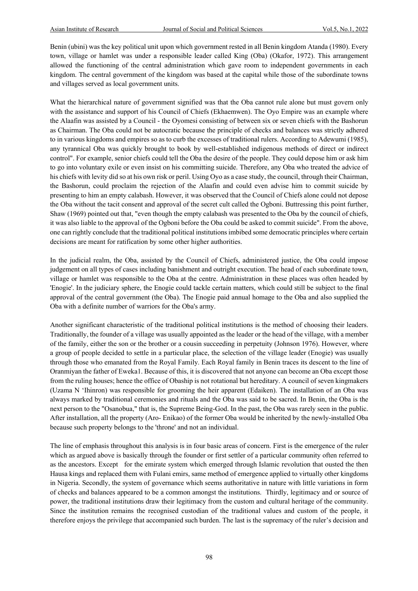Benin (ubini) was the key political unit upon which government rested in all Benin kingdom Atanda (1980). Every town, village or hamlet was under a responsible leader called King (Oba) (Okafor, 1972). This arrangement allowed the functioning of the central administration which gave room to independent governments in each kingdom. The central government of the kingdom was based at the capital while those of the subordinate towns and villages served as local government units.

What the hierarchical nature of government signified was that the Oba cannot rule alone but must govern only with the assistance and support of his Council of Chiefs (Ekhaemwen). The Oyo Empire was an example where the Alaafin was assisted by a Council - the Oyomesi consisting of between six or seven chiefs with the Bashorun as Chairman. The Oba could not be autocratic because the principle of checks and balances was strictly adhered to in various kingdoms and empires so as to curb the excesses of traditional rulers. According to Adewumi (1985), any tyrannical Oba was quickly brought to book by well-established indigenous methods of direct or indirect control". For example, senior chiefs could tell the Oba the desire of the people. They could depose him or ask him to go into voluntary exile or even insist on his committing suicide. Therefore, any Oba who treated the advice of his chiefs with levity did so at his own risk or peril. Using Oyo as a case study, the council, through their Chairman, the Bashorun, could proclaim the rejection of the Alaafin and could even advise him to commit suicide by presenting to him an empty calabash. However, it was observed that the Council of Chiefs alone could not depose the Oba without the tacit consent and approval of the secret cult called the Ogboni. Buttressing this point further, Shaw (1969) pointed out that, "even though the empty calabash was presented to the Oba by the council of chiefs, it was also liable to the approval of the Ogboni before the Oba could be asked to commit suicide". From the above, one can rightly conclude that the traditional political institutions imbibed some democratic principles where certain decisions are meant for ratification by some other higher authorities.

In the judicial realm, the Oba, assisted by the Council of Chiefs, administered justice, the Oba could impose judgement on all types of cases including banishment and outright execution. The head of each subordinate town, village or hamlet was responsible to the Oba at the centre. Administration in these places was often headed by 'Enogie'. In the judiciary sphere, the Enogie could tackle certain matters, which could still be subject to the final approval of the central government (the Oba). The Enogie paid annual homage to the Oba and also supplied the Oba with a definite number of warriors for the Oba's army.

Another significant characteristic of the traditional political institutions is the method of choosing their leaders. Traditionally, the founder of a village was usually appointed as the leader or the head of the village, with a member of the family, either the son or the brother or a cousin succeeding in perpetuity (Johnson 1976). However, where a group of people decided to settle in a particular place, the selection of the village leader (Enogie) was usually through those who emanated from the Royal Family. Each Royal family in Benin traces its descent to the line of Oranmiyan the father of Eweka1. Because of this, it is discovered that not anyone can become an Oba except those from the ruling houses; hence the office of Obaship is not rotational but hereditary. A council of seven kingmakers (Uzama N 'Ihinron) was responsible for grooming the heir apparent (Edaiken). The installation of an Oba was always marked by traditional ceremonies and rituals and the Oba was said to be sacred. In Benin, the Oba is the next person to the "Osanobua," that is, the Supreme Being-God. In the past, the Oba was rarely seen in the public. After installation, all the property (Aro- Enikao) of the former Oba would be inherited by the newly-installed Oba because such property belongs to the 'throne' and not an individual.

The line of emphasis throughout this analysis is in four basic areas of concern. First is the emergence of the ruler which as argued above is basically through the founder or first settler of a particular community often referred to as the ancestors. Except for the emirate system which emerged through Islamic revolution that ousted the then Hausa kings and replaced them with Fulani emirs, same method of emergence applied to virtually other kingdoms in Nigeria. Secondly, the system of governance which seems authoritative in nature with little variations in form of checks and balances appeared to be a common amongst the institutions. Thirdly, legitimacy and or source of power, the traditional institutions draw their legitimacy from the custom and cultural heritage of the community. Since the institution remains the recognised custodian of the traditional values and custom of the people, it therefore enjoys the privilege that accompanied such burden. The last is the supremacy of the ruler's decision and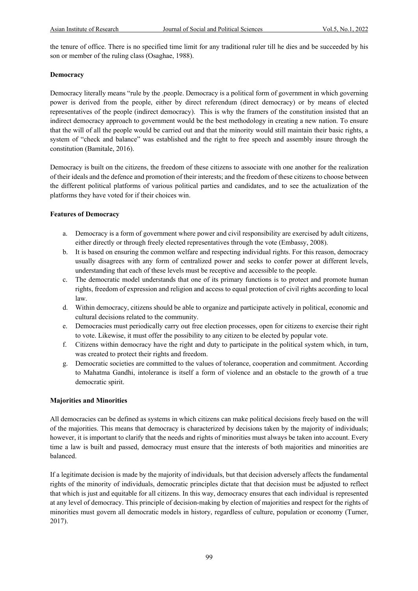the tenure of office. There is no specified time limit for any traditional ruler till he dies and be succeeded by his son or member of the ruling class (Osaghae, 1988).

#### **Democracy**

Democracy literally means "rule by the .people. Democracy is a political form of government in which governing power is derived from the people, either by direct referendum (direct democracy) or by means of elected representatives of the people (indirect democracy). This is why the framers of the constitution insisted that an indirect democracy approach to government would be the best methodology in creating a new nation. To ensure that the will of all the people would be carried out and that the minority would still maintain their basic rights, a system of "check and balance" was established and the right to free speech and assembly insure through the constitution (Bamitale, 2016).

Democracy is built on the citizens, the freedom of these citizens to associate with one another for the realization of their ideals and the defence and promotion of their interests; and the freedom of these citizens to choose between the different political platforms of various political parties and candidates, and to see the actualization of the platforms they have voted for if their choices win.

#### **Features of Democracy**

- a. Democracy is a form of government where power and civil responsibility are exercised by adult citizens, either directly or through freely elected representatives through the vote (Embassy, 2008).
- b. It is based on ensuring the common welfare and respecting individual rights. For this reason, democracy usually disagrees with any form of centralized power and seeks to confer power at different levels, understanding that each of these levels must be receptive and accessible to the people.
- c. The democratic model understands that one of its primary functions is to protect and promote human rights, freedom of expression and religion and access to equal protection of civil rights according to local law.
- d. Within democracy, citizens should be able to organize and participate actively in political, economic and cultural decisions related to the community.
- e. Democracies must periodically carry out free election processes, open for citizens to exercise their right to vote. Likewise, it must offer the possibility to any citizen to be elected by popular vote.
- f. Citizens within democracy have the right and duty to participate in the political system which, in turn, was created to protect their rights and freedom.
- g. Democratic societies are committed to the values of tolerance, cooperation and commitment. According to Mahatma Gandhi, intolerance is itself a form of violence and an obstacle to the growth of a true democratic spirit.

#### **Majorities and Minorities**

All democracies can be defined as systems in which citizens can make political decisions freely based on the will of the majorities. This means that democracy is characterized by decisions taken by the majority of individuals; however, it is important to clarify that the needs and rights of minorities must always be taken into account. Every time a law is built and passed, democracy must ensure that the interests of both majorities and minorities are balanced.

If a legitimate decision is made by the majority of individuals, but that decision adversely affects the fundamental rights of the minority of individuals, democratic principles dictate that that decision must be adjusted to reflect that which is just and equitable for all citizens. In this way, democracy ensures that each individual is represented at any level of democracy. This principle of decision-making by election of majorities and respect for the rights of minorities must govern all democratic models in history, regardless of culture, population or economy (Turner, 2017).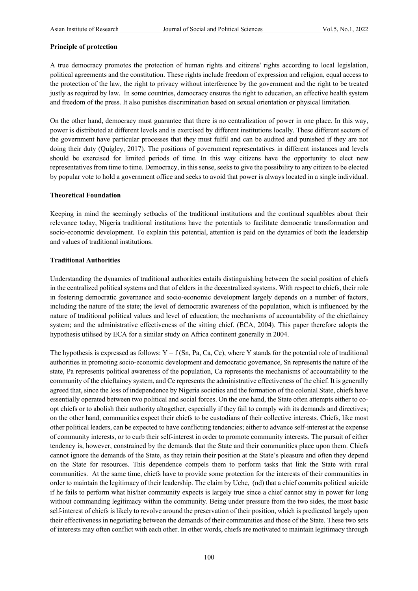#### **Principle of protection**

A true democracy promotes the protection of human rights and citizens' rights according to local legislation, political agreements and the constitution. These rights include freedom of expression and religion, equal access to the protection of the law, the right to privacy without interference by the government and the right to be treated justly as required by law. In some countries, democracy ensures the right to education, an effective health system and freedom of the press. It also punishes discrimination based on sexual orientation or physical limitation.

On the other hand, democracy must guarantee that there is no centralization of power in one place. In this way, power is distributed at different levels and is exercised by different institutions locally. These different sectors of the government have particular processes that they must fulfil and can be audited and punished if they are not doing their duty (Quigley, 2017). The positions of government representatives in different instances and levels should be exercised for limited periods of time. In this way citizens have the opportunity to elect new representatives from time to time. Democracy, in this sense, seeksto give the possibility to any citizen to be elected by popular vote to hold a government office and seeks to avoid that power is always located in a single individual.

#### **Theoretical Foundation**

Keeping in mind the seemingly setbacks of the traditional institutions and the continual squabbles about their relevance today, Nigeria traditional institutions have the potentials to facilitate democratic transformation and socio-economic development. To explain this potential, attention is paid on the dynamics of both the leadership and values of traditional institutions.

#### **Traditional Authorities**

Understanding the dynamics of traditional authorities entails distinguishing between the social position of chiefs in the centralized political systems and that of elders in the decentralized systems. With respect to chiefs, their role in fostering democratic governance and socio-economic development largely depends on a number of factors, including the nature of the state; the level of democratic awareness of the population, which is influenced by the nature of traditional political values and level of education; the mechanisms of accountability of the chieftaincy system; and the administrative effectiveness of the sitting chief. (ECA, 2004). This paper therefore adopts the hypothesis utilised by ECA for a similar study on Africa continent generally in 2004.

The hypothesis is expressed as follows:  $Y = f(Sn, Pa, Ca, Ce)$ , where Y stands for the potential role of traditional authorities in promoting socio-economic development and democratic governance, Sn represents the nature of the state, Pa represents political awareness of the population, Ca represents the mechanisms of accountability to the community of the chieftaincy system, and Ce represents the administrative effectiveness of the chief. It is generally agreed that, since the loss of independence by Nigeria societies and the formation of the colonial State, chiefs have essentially operated between two political and social forces. On the one hand, the State often attempts either to coopt chiefs or to abolish their authority altogether, especially if they fail to comply with its demands and directives; on the other hand, communities expect their chiefs to be custodians of their collective interests. Chiefs, like most other political leaders, can be expected to have conflicting tendencies; either to advance self-interest at the expense of community interests, or to curb their self-interest in order to promote community interests. The pursuit of either tendency is, however, constrained by the demands that the State and their communities place upon them. Chiefs cannot ignore the demands of the State, as they retain their position at the State's pleasure and often they depend on the State for resources. This dependence compels them to perform tasks that link the State with rural communities. At the same time, chiefs have to provide some protection for the interests of their communities in order to maintain the legitimacy of their leadership. The claim by Uche, (nd) that a chief commits political suicide if he fails to perform what his/her community expects is largely true since a chief cannot stay in power for long without commanding legitimacy within the community. Being under pressure from the two sides, the most basic self-interest of chiefs is likely to revolve around the preservation of their position, which is predicated largely upon their effectiveness in negotiating between the demands of their communities and those of the State. These two sets of interests may often conflict with each other. In other words, chiefs are motivated to maintain legitimacy through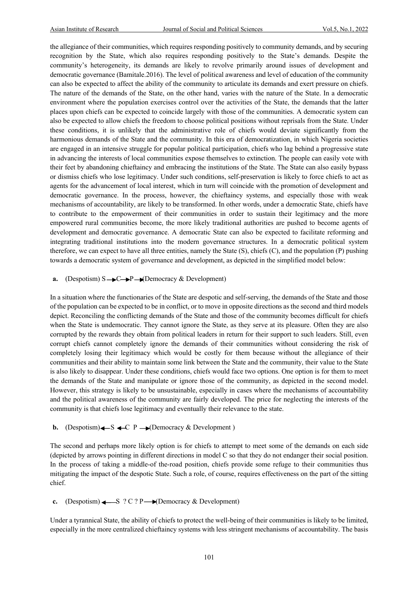the allegiance of their communities, which requires responding positively to community demands, and by securing recognition by the State, which also requires responding positively to the State's demands. Despite the community's heterogeneity, its demands are likely to revolve primarily around issues of development and democratic governance (Bamitale.2016). The level of political awareness and level of education of the community can also be expected to affect the ability of the community to articulate its demands and exert pressure on chiefs. The nature of the demands of the State, on the other hand, varies with the nature of the State. In a democratic environment where the population exercises control over the activities of the State, the demands that the latter places upon chiefs can be expected to coincide largely with those of the communities. A democratic system can also be expected to allow chiefs the freedom to choose political positions without reprisals from the State. Under these conditions, it is unlikely that the administrative role of chiefs would deviate significantly from the harmonious demands of the State and the community. In this era of democratization, in which Nigeria societies are engaged in an intensive struggle for popular political participation, chiefs who lag behind a progressive state in advancing the interests of local communities expose themselves to extinction. The people can easily vote with their feet by abandoning chieftaincy and embracing the institutions of the State. The State can also easily bypass or dismiss chiefs who lose legitimacy. Under such conditions, self-preservation is likely to force chiefs to act as agents for the advancement of local interest, which in turn will coincide with the promotion of development and democratic governance. In the process, however, the chieftaincy systems, and especially those with weak mechanisms of accountability, are likely to be transformed. In other words, under a democratic State, chiefs have to contribute to the empowerment of their communities in order to sustain their legitimacy and the more empowered rural communities become, the more likely traditional authorities are pushed to become agents of development and democratic governance. A democratic State can also be expected to facilitate reforming and integrating traditional institutions into the modern governance structures. In a democratic political system therefore, we can expect to have all three entities, namely the State (S), chiefs (C), and the population (P) pushing towards a democratic system of governance and development, as depicted in the simplified model below:

#### **a.** (Despotism)  $S \rightarrow C \rightarrow P \rightarrow (D$ emocracy & Development)

In a situation where the functionaries of the State are despotic and self-serving, the demands of the State and those of the population can be expected to be in conflict, or to move in opposite directions as the second and third models depict. Reconciling the conflicting demands of the State and those of the community becomes difficult for chiefs when the State is undemocratic. They cannot ignore the State, as they serve at its pleasure. Often they are also corrupted by the rewards they obtain from political leaders in return for their support to such leaders. Still, even corrupt chiefs cannot completely ignore the demands of their communities without considering the risk of completely losing their legitimacy which would be costly for them because without the allegiance of their communities and their ability to maintain some link between the State and the community, their value to the State is also likely to disappear. Under these conditions, chiefs would face two options. One option is for them to meet the demands of the State and manipulate or ignore those of the community, as depicted in the second model. However, this strategy is likely to be unsustainable, especially in cases where the mechanisms of accountability and the political awareness of the community are fairly developed. The price for neglecting the interests of the community is that chiefs lose legitimacy and eventually their relevance to the state.

#### $(Despotism) \leftarrow S \leftarrow C \ P \rightarrow (Demoracy \& Development)$

The second and perhaps more likely option is for chiefs to attempt to meet some of the demands on each side (depicted by arrows pointing in different directions in model C so that they do not endanger their social position. In the process of taking a middle-of the-road position, chiefs provide some refuge to their communities thus mitigating the impact of the despotic State. Such a role, of course, requires effectiveness on the part of the sitting chief.

#### **c.** (Despotism)  $\leftarrow$  S ? C ? P  $\rightarrow$  (Democracy & Development)

Under a tyrannical State, the ability of chiefs to protect the well-being of their communities is likely to be limited, especially in the more centralized chieftaincy systems with less stringent mechanisms of accountability. The basis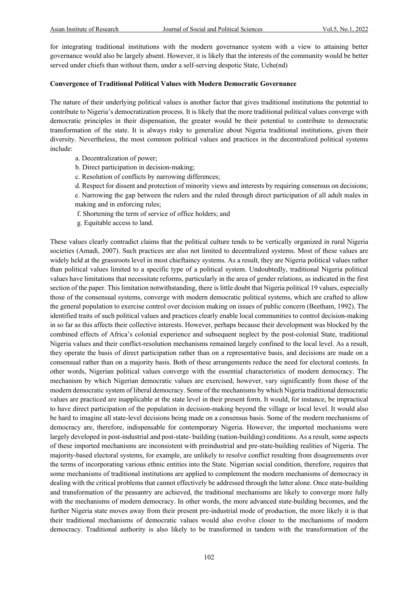for integrating traditional institutions with the modern governance system with a view to attaining better governance would also be largely absent. However, it is likely that the interests of the community would be better served under chiefs than without them, under a self-serving despotic State, Uche(nd)

#### **Convergence of Traditional Political Values with Modern Democratic Governance**

The nature of their underlying political values is another factor that gives traditional institutions the potential to contribute to Nigeria's democratization process. It is likely that the more traditional political values converge with democratic principles in their dispensation, the greater would be their potential to contribute to democratic transformation of the state. It is always risky to generalize about Nigeria traditional institutions, given their diversity. Nevertheless, the most common political values and practices in the decentralized political systems include:

- a. Decentralization of power;
- b. Direct participation in decision-making;
- c. Resolution of conflicts by narrowing differences;
- d. Respect for dissent and protection of minority views and interests by requiring consensus on decisions; e. Narrowing the gap between the rulers and the ruled through direct participation of all adult males in making and in enforcing rules;
- f. Shortening the term of service of office holders; and
- g. Equitable access to land.

These values clearly contradict claims that the political culture tends to be vertically organized in rural Nigeria societies (Amadi, 2007). Such practices are also not limited to decentralized systems. Most of these values are widely held at the grassroots level in most chieftaincy systems. As a result, they are Nigeria political values rather than political values limited to a specific type of a political system. Undoubtedly, traditional Nigeria political values have limitations that necessitate reforms, particularly in the area of gender relations, as indicated in the first section of the paper. This limitation notwithstanding, there is little doubt that Nigeria political 19 values, especially those of the consensual systems, converge with modern democratic political systems, which are crafted to allow the general population to exercise control over decision making on issues of public concern (Beetham, 1992). The identified traits of such political values and practices clearly enable local communities to control decision-making in so far as this affects their collective interests. However, perhaps because their development was blocked by the combined effects of Africa's colonial experience and subsequent neglect by the post-colonial State, traditional Nigeria values and their conflict-resolution mechanisms remained largely confined to the local level. As a result, they operate the basis of direct participation rather than on a representative basis, and decisions are made on a consensual rather than on a majority basis. Both of these arrangements reduce the need for electoral contests. In other words, Nigerian political values converge with the essential characteristics of modern democracy. The mechanism by which Nigerian democratic values are exercised, however, vary significantly from those of the modern democratic system of liberal democracy. Some of the mechanisms by which Nigeria traditional democratic values are practiced are inapplicable at the state level in their present form. It would, for instance, be impractical to have direct participation of the population in decision-making beyond the village or local level. It would also be hard to imagine all state-level decisions being made on a consensus basis. Some of the modern mechanisms of democracy are, therefore, indispensable for contemporary Nigeria. However, the imported mechanisms were largely developed in post-industrial and post-state- building (nation-building) conditions. As a result, some aspects of these imported mechanisms are inconsistent with preindustrial and pre-state-building realities of Nigeria. The majority-based electoral systems, for example, are unlikely to resolve conflict resulting from disagreements over the terms of incorporating various ethnic entities into the State. Nigerian social condition, therefore, requires that some mechanisms of traditional institutions are applied to complement the modern mechanisms of democracy in dealing with the critical problems that cannot effectively be addressed through the latter alone. Once state-building and transformation of the peasantry are achieved, the traditional mechanisms are likely to converge more fully with the mechanisms of modern democracy. In other words, the more advanced state-building becomes, and the further Nigeria state moves away from their present pre-industrial mode of production, the more likely it is that their traditional mechanisms of democratic values would also evolve closer to the mechanisms of modern democracy. Traditional authority is also likely to be transformed in tandem with the transformation of the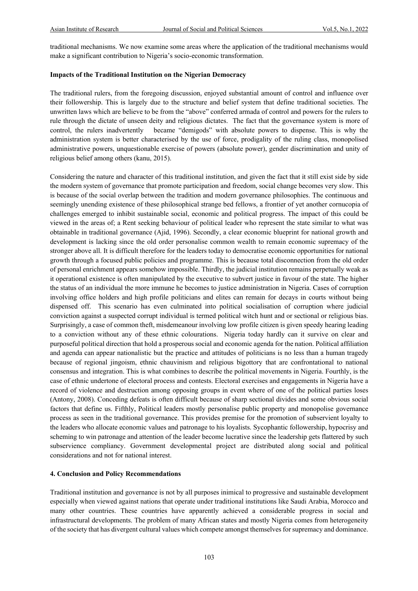traditional mechanisms. We now examine some areas where the application of the traditional mechanisms would make a significant contribution to Nigeria's socio-economic transformation.

#### **Impacts of the Traditional Institution on the Nigerian Democracy**

The traditional rulers, from the foregoing discussion, enjoyed substantial amount of control and influence over their followership. This is largely due to the structure and belief system that define traditional societies. The unwritten laws which are believe to be from the "above" conferred armada of control and powers for the rulers to rule through the dictate of unseen deity and religious dictates. The fact that the governance system is more of control, the rulers inadvertently became "demigods" with absolute powers to dispense. This is why the administration system is better characterised by the use of force, prodigality of the ruling class, monopolised administrative powers, unquestionable exercise of powers (absolute power), gender discrimination and unity of religious belief among others (kanu, 2015).

Considering the nature and character of this traditional institution, and given the fact that it still exist side by side the modern system of governance that promote participation and freedom, social change becomes very slow. This is because of the social overlap between the tradition and modern governance philosophies. The continuous and seemingly unending existence of these philosophical strange bed fellows, a frontier of yet another cornucopia of challenges emerged to inhibit sustainable social, economic and political progress. The impact of this could be viewed in the areas of; a Rent seeking behaviour of political leader who represent the state similar to what was obtainable in traditional governance (Ajid, 1996). Secondly, a clear economic blueprint for national growth and development is lacking since the old order personalise common wealth to remain economic supremacy of the stronger above all. It is difficult therefore for the leaders today to democratise economic opportunities for national growth through a focused public policies and programme. This is because total disconnection from the old order of personal enrichment appears somehow impossible. Thirdly, the judicial institution remains perpetually weak as it operational existence is often manipulated by the executive to subvert justice in favour of the state. The higher the status of an individual the more immune he becomes to justice administration in Nigeria. Cases of corruption involving office holders and high profile politicians and elites can remain for decays in courts without being dispensed off. This scenario has even culminated into political socialisation of corruption where judicial conviction against a suspected corrupt individual is termed political witch hunt and or sectional or religious bias. Surprisingly, a case of common theft, misdemeanour involving low profile citizen is given speedy hearing leading to a conviction without any of these ethnic colourations. Nigeria today hardly can it survive on clear and purposeful political direction that hold a prosperous social and economic agenda for the nation. Political affiliation and agenda can appear nationalistic but the practice and attitudes of politicians is no less than a human tragedy because of regional jingoism, ethnic chauvinism and religious bigottory that are confrontational to national consensus and integration. This is what combines to describe the political movements in Nigeria. Fourthly, is the case of ethnic undertone of electoral process and contests. Electoral exercises and engagements in Nigeria have a record of violence and destruction among opposing groups in event where of one of the political parties loses (Antony, 2008). Conceding defeats is often difficult because of sharp sectional divides and some obvious social factors that define us. Fifthly, Political leaders mostly personalise public property and monopolise governance process as seen in the traditional governance. This provides premise for the promotion of subservient loyalty to the leaders who allocate economic values and patronage to his loyalists. Sycophantic followership, hypocrisy and scheming to win patronage and attention of the leader become lucrative since the leadership gets flattered by such subservience compliancy. Government developmental project are distributed along social and political considerations and not for national interest.

#### **4. Conclusion and Policy Recommendations**

Traditional institution and governance is not by all purposes inimical to progressive and sustainable development especially when viewed against nations that operate under traditional institutions like Saudi Arabia, Morocco and many other countries. These countries have apparently achieved a considerable progress in social and infrastructural developments. The problem of many African states and mostly Nigeria comes from heterogeneity of the society that has divergent cultural values which compete amongst themselves for supremacy and dominance.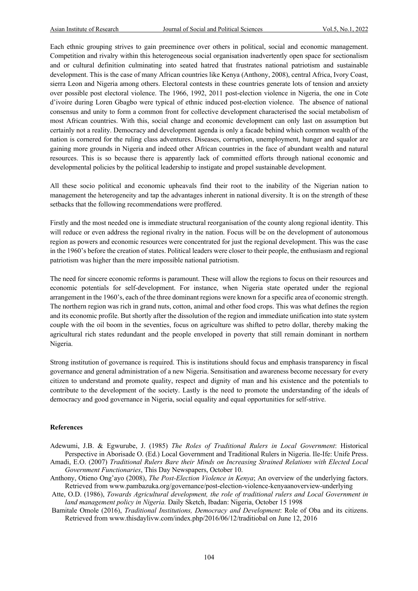Each ethnic grouping strives to gain preeminence over others in political, social and economic management. Competition and rivalry within this heterogeneous social organisation inadvertently open space for sectionalism and or cultural definition culminating into seated hatred that frustrates national patriotism and sustainable development. This is the case of many African countries like Kenya (Anthony, 2008), central Africa, Ivory Coast, sierra Leon and Nigeria among others. Electoral contests in these countries generate lots of tension and anxiety over possible post electoral violence. The 1966, 1992, 2011 post-election violence in Nigeria, the one in Cote d'ivoire during Loren Gbagbo were typical of ethnic induced post-election violence. The absence of national consensus and unity to form a common front for collective development characterised the social metabolism of most African countries. With this, social change and economic development can only last on assumption but certainly not a reality. Democracy and development agenda is only a facade behind which common wealth of the nation is cornered for the ruling class adventures. Diseases, corruption, unemployment, hunger and squalor are gaining more grounds in Nigeria and indeed other African countries in the face of abundant wealth and natural resources. This is so because there is apparently lack of committed efforts through national economic and developmental policies by the political leadership to instigate and propel sustainable development.

All these socio political and economic upheavals find their root to the inability of the Nigerian nation to management the heterogeneity and tap the advantages inherent in national diversity. It is on the strength of these setbacks that the following recommendations were proffered.

Firstly and the most needed one is immediate structural reorganisation of the county along regional identity. This will reduce or even address the regional rivalry in the nation. Focus will be on the development of autonomous region as powers and economic resources were concentrated for just the regional development. This was the case in the 1960's before the creation of states. Political leaders were closer to their people, the enthusiasm and regional patriotism was higher than the mere impossible national patriotism.

The need for sincere economic reforms is paramount. These will allow the regions to focus on their resources and economic potentials for self-development. For instance, when Nigeria state operated under the regional arrangement in the 1960's, each of the three dominant regions were known for a specific area of economic strength. The northern region was rich in grand nuts, cotton, animal and other food crops. This was what defines the region and its economic profile. But shortly after the dissolution of the region and immediate unification into state system couple with the oil boom in the seventies, focus on agriculture was shifted to petro dollar, thereby making the agricultural rich states redundant and the people enveloped in poverty that still remain dominant in northern Nigeria.

Strong institution of governance is required. This is institutions should focus and emphasis transparency in fiscal governance and general administration of a new Nigeria. Sensitisation and awareness become necessary for every citizen to understand and promote quality, respect and dignity of man and his existence and the potentials to contribute to the development of the society. Lastly is the need to promote the understanding of the ideals of democracy and good governance in Nigeria, social equality and equal opportunities for self-strive.

#### **References**

- Adewumi, J.B. & Egwurube, J. (1985) *The Roles of Traditional Rulers in Local Government*: Historical Perspective in Aborisade O. (Ed.) Local Government and Traditional Rulers in Nigeria. Ile-Ife: Unife Press.
- Amadi, E.O. (2007) *Traditional Rulers Bare their Minds on Increasing Strained Relations with Elected Local Government Functionaries*, This Day Newspapers, October 10.
- Anthony, Otieno Ong'ayo (2008), *The Post-Election Violence in Kenya*; An overview of the underlying factors. Retrieved from www.pambazuka.org/governance/post-election-violence-kenyaanoverview-underlying
- Atte, O.D. (1986), *Towards Agricultural development, the role of traditional rulers and Local Government in land management policy in Nigeria.* Daily Sketch, Ibadan: Nigeria, October 15 1998
- Bamitale Omole (2016), *Traditional Institutions, Democracy and Development*: Role of Oba and its citizens. Retrieved from www.thisdaylivw.com/index.php/2016/06/12/traditiobal on June 12, 2016